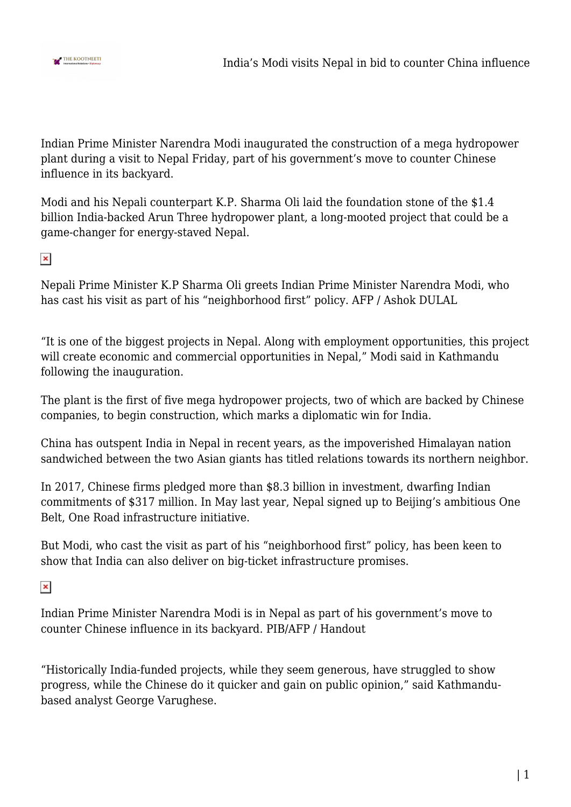

Indian Prime Minister Narendra Modi inaugurated the construction of a mega hydropower plant during a visit to Nepal Friday, part of his government's move to counter Chinese influence in its backyard.

Modi and his Nepali counterpart K.P. Sharma Oli laid the foundation stone of the \$1.4 billion India-backed Arun Three hydropower plant, a long-mooted project that could be a game-changer for energy-staved Nepal.

 $\pmb{\times}$ 

Nepali Prime Minister K.P Sharma Oli greets Indian Prime Minister Narendra Modi, who has cast his visit as part of his "neighborhood first" policy. AFP / Ashok DULAL

"It is one of the biggest projects in Nepal. Along with employment opportunities, this project will create economic and commercial opportunities in Nepal," Modi said in Kathmandu following the inauguration.

The plant is the first of five mega hydropower projects, two of which are backed by Chinese companies, to begin construction, which marks a diplomatic win for India.

China has outspent India in Nepal in recent years, as the impoverished Himalayan nation sandwiched between the two Asian giants has titled relations towards its northern neighbor.

In 2017, Chinese firms pledged more than \$8.3 billion in investment, dwarfing Indian commitments of \$317 million. In May last year, Nepal signed up to Beijing's ambitious One Belt, One Road infrastructure initiative.

But Modi, who cast the visit as part of his "neighborhood first" policy, has been keen to show that India can also deliver on big-ticket infrastructure promises.

 $\pmb{\times}$ 

Indian Prime Minister Narendra Modi is in Nepal as part of his government's move to counter Chinese influence in its backyard. PIB/AFP / Handout

"Historically India-funded projects, while they seem generous, have struggled to show progress, while the Chinese do it quicker and gain on public opinion," said Kathmandubased analyst George Varughese.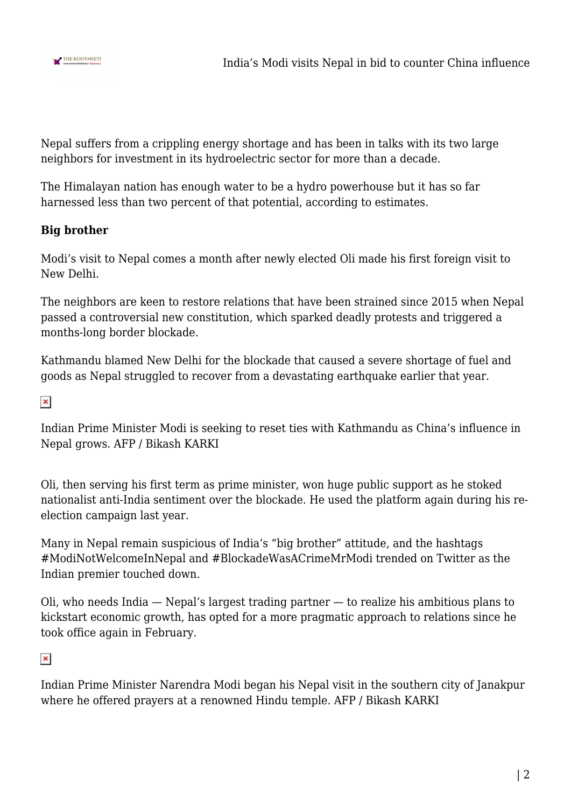

Nepal suffers from a crippling energy shortage and has been in talks with its two large neighbors for investment in its hydroelectric sector for more than a decade.

The Himalayan nation has enough water to be a hydro powerhouse but it has so far harnessed less than two percent of that potential, according to estimates.

## **Big brother**

Modi's visit to Nepal comes a month after newly elected Oli made his first foreign visit to New Delhi.

The neighbors are keen to restore relations that have been strained since 2015 when Nepal passed a controversial new constitution, which sparked deadly protests and triggered a months-long border blockade.

Kathmandu blamed New Delhi for the blockade that caused a severe shortage of fuel and goods as Nepal struggled to recover from a devastating earthquake earlier that year.

 $\pmb{\times}$ 

Indian Prime Minister Modi is seeking to reset ties with Kathmandu as China's influence in Nepal grows. AFP / Bikash KARKI

Oli, then serving his first term as prime minister, won huge public support as he stoked nationalist anti-India sentiment over the blockade. He used the platform again during his reelection campaign last year.

Many in Nepal remain suspicious of India's "big brother" attitude, and the hashtags #ModiNotWelcomeInNepal and #BlockadeWasACrimeMrModi trended on Twitter as the Indian premier touched down.

Oli, who needs India — Nepal's largest trading partner — to realize his ambitious plans to kickstart economic growth, has opted for a more pragmatic approach to relations since he took office again in February.

 $\pmb{\times}$ 

Indian Prime Minister Narendra Modi began his Nepal visit in the southern city of Janakpur where he offered prayers at a renowned Hindu temple. AFP / Bikash KARKI